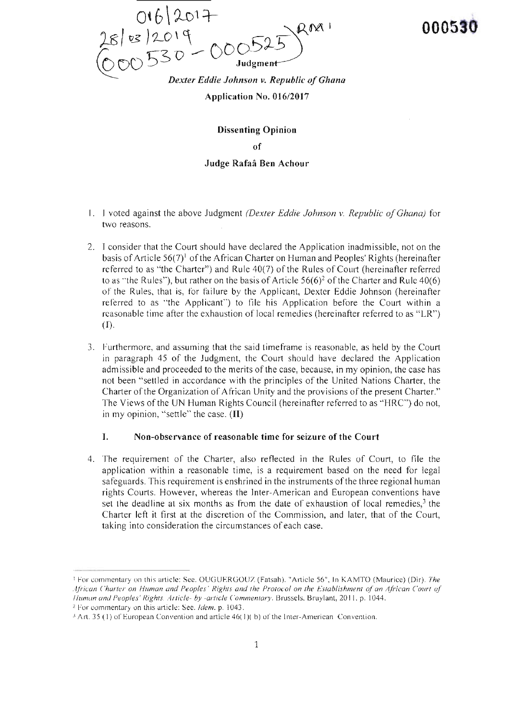016 | 2017  $28$  es 12019  $18/20 - 000525$ **Judgment** 

# $R^{N}$  000530

Dexter Eddie Johnson v. Republic of Ghana Application No. 016/2017

#### Dissenting Opinion

of

#### Judge Rafa6 Ben Achour

- 1. I voted against the above Judgment *(Dexter Eddie Johnson v. Republic of Ghana)* for two reasons
- 2. I consider that the Court should have declared the Application inadmissible. not on the basis of Article  $56(7)^1$  of the African Charter on Human and Peoples' Rights (hereinafter referred to as "the Charter") and Rule  $40(7)$  of the Rules of Court (hereinafter referred to as "the Rules"), but rather on the basis of Article  $56(6)^2$  of the Charter and Rule 40(6) of the Rules, that is, for failure by the Applicant. Dexter Eddie Johnson (hereinafter referred to as "the Applicant") to file his Application before the Court within a rcasonable time after the exhaustion of local remedies (hereinafter referred to as "LR") (I).
- 3. Furthermore, and assuming that the said time frame is reasonable, as held by the Court in paragraph 45 of the Judgment, thc Court should have declared the Application admissible and proceeded to the merits of the case, because, in my opinion, the case has not been "settled in accordance with the principles of the United Nations Charter, the Charter of the Organization of African Unity and the provisions of the present Charter." The Views of the UN Human Rights Council (hereinafter referred to as "HRC") do not. in my opinion, "settle" the case.  $(II)$

## I. Non-observance of reasonable time for seizure of the Court

4. The requirement of the Charter, also reflected in the Rules of Court, to file the application within a reasonable time, is a requirement based on the need for legal safeguards. This requirement is enshrined in the instruments of the three regional human rights Courts. However, whereas the Inter-American and European conventions have set the deadline at six months as from the date of exhaustion of local remedies, $3$  the Charter lcft it first at the discretion of the Commission, and later, that of the Court, taking into consideration the circumstances of each case.

<sup>&</sup>lt;sup>1</sup> For commentary on this article: See. OUGUERGOUZ (Fatsah). "Article 56", In KAMTO (Maurice) (Dir). The African Charter on Human and Peoples' Rights and the Protocol on the Establishment of an African Court of Iluman and Peoples' Rights. Article- by -article Commentary. Brussels. Bruylant, 2011. p. 1044.

 $2$  For commentary on this article: See. *Idem*. p. 1043.

 $<sup>3</sup>$  Art. 35(1) of European Convention and article 46(1)( b) of the Inter-American Convention.</sup>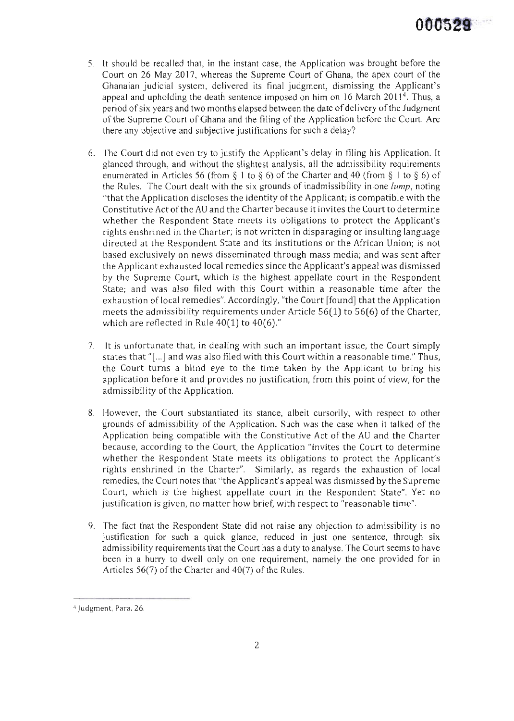- 5. It should be recalled that, in the instant case, the Application was brought before the Court on 26 May 2017, whereas the Supreme Court of Ghana, the apex court of the Ghanaian judicial system, delivered its final judgment, dismissing the Applicant's appeal and upholding the death sentence imposed on him on  $16$  March  $2011<sup>4</sup>$ . Thus, a period of six years and two months elapsed between the date of delivery of the Judgment of the Supreme Court of Chana and the fiting of the Application before the Court. Are there any objective and subjective justifications for such a delay?
- 6. l he Court did not even try to justify the Applicant's delay in tiling his Application. [t glanced through. and without the slightest analysis, all the admissibility requirements enumerated in Articles 56 (from  $\S$  1 to  $\S$  6) of the Charter and 40 (from  $\S$  1 to  $\S$  6) of the Rules. The Court dealt with the six grounds of inadmissibility in one lump, noting "that the Application discloses the identity of the Applicant; is compatible with the Constitutive Act ofthe AU and the Charter because it invites the Court to determine whether the Respondent State meets its obligations to protect the Applicant's rights enshrined in the Charter; is not written in disparaging or insulting language directed at the Respondent State and its institutions or the African Union; is not based exclusively on news disseminated through mass media; and was sent after the Applicant exhausted local remedies since the Applicant's appeal was dismissed by the Supreme Court, which is the highest appellate court in the Respondent State; and was also filed with this Court within a reasonable time after the exhaustion oflocal remedies". Accordingly, "the Court [found] that the Application meets the admissibility requirements under Article  $56(1)$  to  $56(6)$  of the Charter, which are reflected in Rule  $40(1)$  to  $40(6)$ ."
- 7. It is unfortunate that, in dealing with such an important issue, the Court simply states that "[...] and was also filed with this Court within a reasonable time." Thus, the Court turns a blind eye to the time taken by the Applicant to bring his application before it and provides no justification, from this point of view, for the admissibility of the Application.
- 8. However, the Court substantiated its stance, albeit cursorily, with respect to other grounds of admissibility of the Application. Such was the case when it talked of the Application being compatible with the Constitutive Act of the AU and the Charter because, according to the Court, the Application "invites the Court to detcrmine whether the Respondent State meets its obligations to protect the Applicant's rights enshrined in the Charter". Similarly, as regards the exhaustion of local remedies, the Court notes that "the Applicant's appeal was dismissed by the Supreme Court, which is the highest appellate court in the Respondent State". Yet no justification is given, no matter how brief, with respect to "reasonable time".
- 9. The fact that the Respondent State did not raise any objection to admissibility is no justification for such a quick glance, reduced in just one sentence, through six admissibility requirements that the Court has a duty to analyse . The Court seems to have been in a hurry to dwell only on one requirement, namely the one provided for in Articles  $56(7)$  of the Charter and  $40(7)$  of the Rules.

<sup>&</sup>lt;sup>4</sup> Judgment, Para. 26.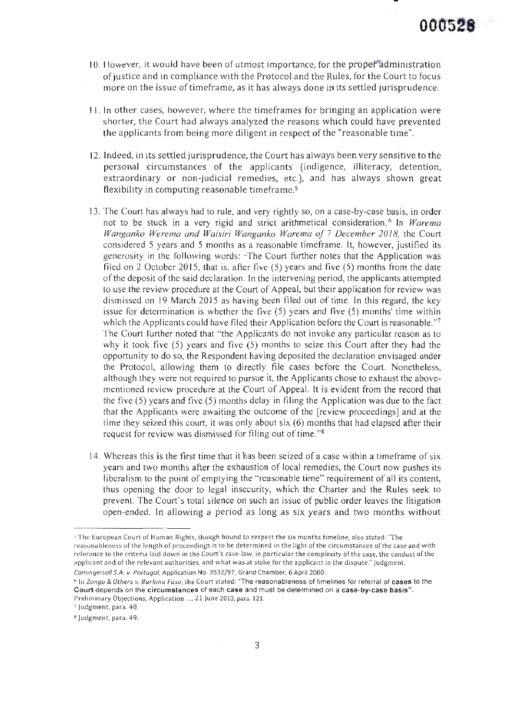- 10. Ilorvcver. it would have been of utmost importancc, for the propef"administration of justice and in compliance with the Protocol and the Rules, for the Court to focus more on the issue of timeframe, as it has always done in its settled jurisprudence.
- II. In other cases, however, where the timeframes for bringing an application were shorter, the Court had always analyzed the reasons which could have prevented the applicants from being more diligent in respect of the "reasonable time".
- 12. Indeed, in its settled jurisprudence, the Court has always been very sensitive to the personal circumstances of the applicants (indigence, illiteracy, detention, extraordinary or non-judicial remedies, etc.), and has always shown great flexibility in computing reasonable timeframe.<sup>5</sup>
- 13. The Court has always had to rule, and very rightly so, on a case-by-case basis, in order not to be stuck in a very rigid and strict arithmetical consideration.<sup>6</sup> In Warema Wanganko Werema and Waisiri Wanganko Warema of 7 December 2018, the Court considered 5 years and 5 months as a reasonable timeframe. It, however, justified its generosity in the following words: "The Court further notes that the Application was filed on 2 October 2015, that is, after five  $(5)$  years and five  $(5)$  months from the date of the deposit of the said declaration. In the intervening period, the applicants attempted to use the review procedure at the Court of Appeal, but their application for review was dismissed on l9 March 2015 as having been flled out of time. In this regard, the key issue for determination is whether the five  $(5)$  years and five  $(5)$  months' time within which the Applicants could have filed their Application before the Court is reasonable."<sup>7</sup> The Court further noted that "the Applicants do not invoke any particular reason as to why it took five  $(5)$  years and five  $(5)$  months to seize this Court after they had the opportunity to do so, the Respondent having deposited the declaration envisaged under the Protocol, allowing them to directly file cases beforc the Court. Nonetheless, although they were not required to pursue it, the Applicants chose to exhaust the abovementioned review procedure at the Court of Appeal. It is evident from the record that the five  $(5)$  years and five  $(5)$  months delay in filing the Application was due to the fact that the Applicants were awaiting the outcome of the [review proceedings] and at the time they seized this court, it was only about six (6) months that had elapsed after their request for review was dismissed for filing out of time."<sup>8</sup>
- 14. Whereas this is the first time that it has been seized of a case within a timeframe of six years and two months after the exhaustion of local remedies, the Court now pushes its liberalism to the point of emptying the "reasonable time" requirement of all its content, thus opening the door to legal insecurity, which the Charter and the Rules seek to prevent. The Court's total silence on such an issue of public order leaves the litigation open-ended. ln allowing a period as long as six years and two months without

Comingersoll S.A. v. Portugal, Application No. 3532/97, Grand Chamber, 6 April 2000.

<sup>&</sup>lt;sup>5</sup> The European Court of Human Rights, though bound to respect the six months timeline, also stated: "The reasonableness of the length of proceedings is to be determined in the light of the circumstances of the case and with reference to the criteria laid down in the Court's case-law, in particular the complexity of the case, the conduct of the applicant and of the relevant authorities, and what was at stake for the applicant in the dispute." Judgment,

<sup>&</sup>lt;sup>6</sup> In Zongo & Others v. Burkinu Faso, the Court stated: "The reasonableness of timelines for referral of cases to the Court depends on the circumstances of each case and must be determined on a case-by-case basis". Preliminary Objections, Application ..., 21 June 2013, para. 121.

<sup>&</sup>lt;sup>7</sup> Judgment, para. 48.

<sup>&</sup>lt;sup>8</sup> Judgment, para. 49.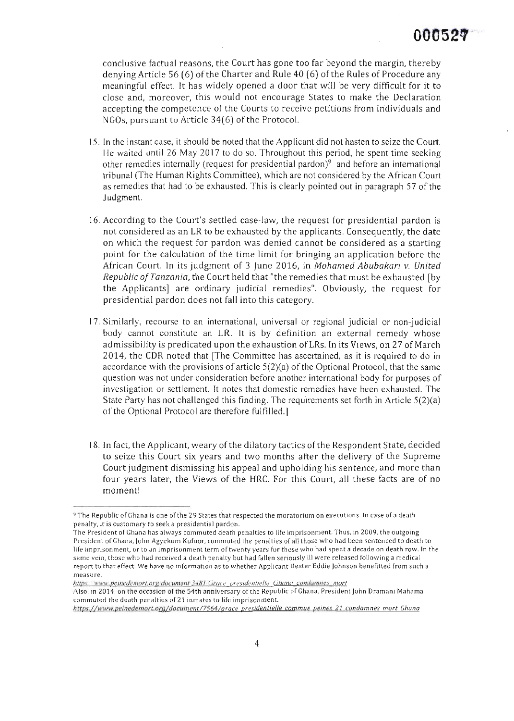conclusive factual reasons, the Court has gone too far beyond the margin, thereby denying Article 56 (61 ofthe Charter and Rule 40 (6) ofthe Rules of Procedure any meaningful effect. It has widely opened a door that will be very difficult for it to closc and, morcover, this would not encourage States to make the Declaration accepting the competence of the Courts to receive petitions from individuals and NGOs, pursuant to Article 34(6) of the Protocol.

- 15. In the instant case, it should be noted that the Applicant did not hasten to seize the Court. He waited until 26 May 2017 to do so. Throughout this period, he spent time seeking other remedies internally (request for presidential pardon)<sup>9</sup> and before an international tribunal (The Human Rights Committee), which are not considered by the African Court as remedies that had to be exhausted. This is clearly pointed out in paragraph 57 of the Judgment.
- 16. According to the Court's settled case-law, the request for presidential pardon is not considered as an LR to be exhausted by the applicants. Consequently, the date on which the request for pardon was denied cannot be considered as a starting point for the calculation of the time limit for bringing an application before the African Court. In its judgment of 3 June 2016, in Mohamed Abubakari v. United Republic of Tanzania, the Court held that "the remedies that must be exhausted [by the Applicants] are ordinary judicial remedies". Obviously, the request for presidential pardon does not fall into this category.
- 17. Similarly, recourse to an international. univcrsal or regional judicial or non-judicial body cannot constitute an LR. lt is by definition an external remedy whose admissibility is predicated upon the exhaustion of LRs. ln its Views, on 27 of March 2014, the CDR noted that [Thc Committee has ascertained, as it is required to do in accordance with the provisions of article  $5(2)(a)$  of the Optional Protocol, that the same question was not under consideration before another international body for purposes of invcstigation or setllement. lt notes thal domestic remedies have been exhausted. The State Party has not challenged this finding. The requirements set forth in Article  $5(2)(a)$ of the Optional Protocol are therefore fulfilled.]
- 18. ln fact, the Applicant, weary ofthe dilatory tactics ofthe Respondent State, decided to seize this Court six years and two months after the delivery of the Supreme Court judgment dismissing his appeal and upholding his sentence, and more than four years later, the Views of the HRC. For this Court, all these facts are of no moment!

<sup>&#</sup>x27;)'lhe Republic ofGhana is one ofthe 29 States that respected the moratorium on executions. In case ofa death penalry, it is customary to seek a presidential pardon.

The President of Ghana has always commuted death penalties to life imprisonment. Thus, in 2009, the outgoing President of Ghana, John Agyekum Kufuor, commuted the penalties of all those who had been sentenced to death to life imprisonment, or to an imprisonment term of twenty years for those who had spent a decade on death row. In the same vein, those who had received a death penalty but had fallen seriously ill were released following a medical report to that effect. We have no information as to whether Applicant Dexter Eddie lohnson benefitted from such a measure.

https://www.pethedemort.org/document/3481 (irace\_presidentielle\_Ghana\_condumnes\_mort

Also. in 2014, on the occasion of the 54th anniversary of the Republic of Ghana, President John Dramani Mahama commuted the death penalties of 21 inmates to life imprisonment.

https://www.peinedemort.org/document/7564/grace\_presidentielle\_commue\_peines\_21\_condamnes\_mort\_Ghung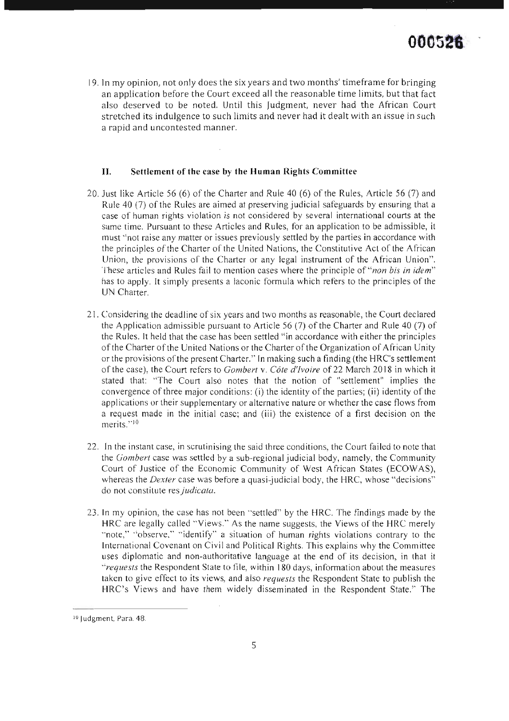19. In my opinion, not only does the six years and two months' timeframe for bringing an application before the Court exceed all the reasonable time limits, but that fact also deserved to be noted. Until this Judgment, never had the African Court stretched its indulgence to such limits and never had it dealt with an issue in such a rapid and uncontested manner.

### II. Settlement of the case by the Human Rights Committee

- 20. Just like Article 56 (6) of the Charter and Rule 40 (6) of the Rules, Article 56 (7) and Rule 40 (7) of the Rules are aimed at preserving judicial safeguards by ensuring that a case of human rights violation is not considered by several international courts at the same time. Pursuant to these Articles and Rules, for an application to be admissible, it must "not raise any matter or issues previously settled by the parties in accordance with the principles of the Charter of the United Nations, the Constitutive Act of the African Union, the provisions of the Charter or any legal instrument of the African Union". These articles and Rules fail to mention cases where the principle of "*non bis in idem*" has to apply. It simply presents a laconic formula which refers to the principles of the UN Charter.
- 21. Considering the deadline of six years and two months as reasonable, the Court declared the Application admissible pursuant to Article 56 (7) of the Charter and Rule 40 (7) of the Rules. It held that the case has been settled "in accordance with either the principles of the Charter of the United Nations or the Charter of the Organization of African Unity or the provisions of the present Charter." In making such a finding (the HRC's settlement of the case), the Court refers to *Gombert v. Côte d'Ivoire* of 22 March 2018 in which it stated that: "The Court also notes that the notion of "settlement" implies the convergence ofthree major conditions: (i) the identity of the parties; (ii) identiry of the applications or their supplementary or alternative nature or whether the case flows from a request made in the initial casc; and (iii) the existence of a first decision on the merits."<sup>10</sup>
- 22. ln the instant case, in scrutinising the said three conditions, the Court failed to note that the *Gombert* case was settled by a sub-regional judicial body, namely, the Community Court of Justice of the Economic Community of West African States (ECOWAS), whereas the Dexter case was before a quasi-judicial body, the HRC, whose "decisions" do not constitute res judicata.
- 23. In my opinion, the case has not been "settled" by the HRC. The findings made by the HRC are legally called "Views." As the name suggests, the Views of the HRC merely "note," "observe," "identify" a situation of human rights violations contrary to the lnternational Covenant on Civiland Political Rights. This explains why the Committee uses diplomatic and non-authoritative language at the end of its decision. in that it "requests the Respondent State to file, within 180 days, information about the measures taken to give effect to its views, and also *requests* the Respondent State to publish the HRC's Views and have them widely disseminated in the Respondent State." The

<sup>&</sup>lt;sup>10</sup> Judgment, Para. 48.